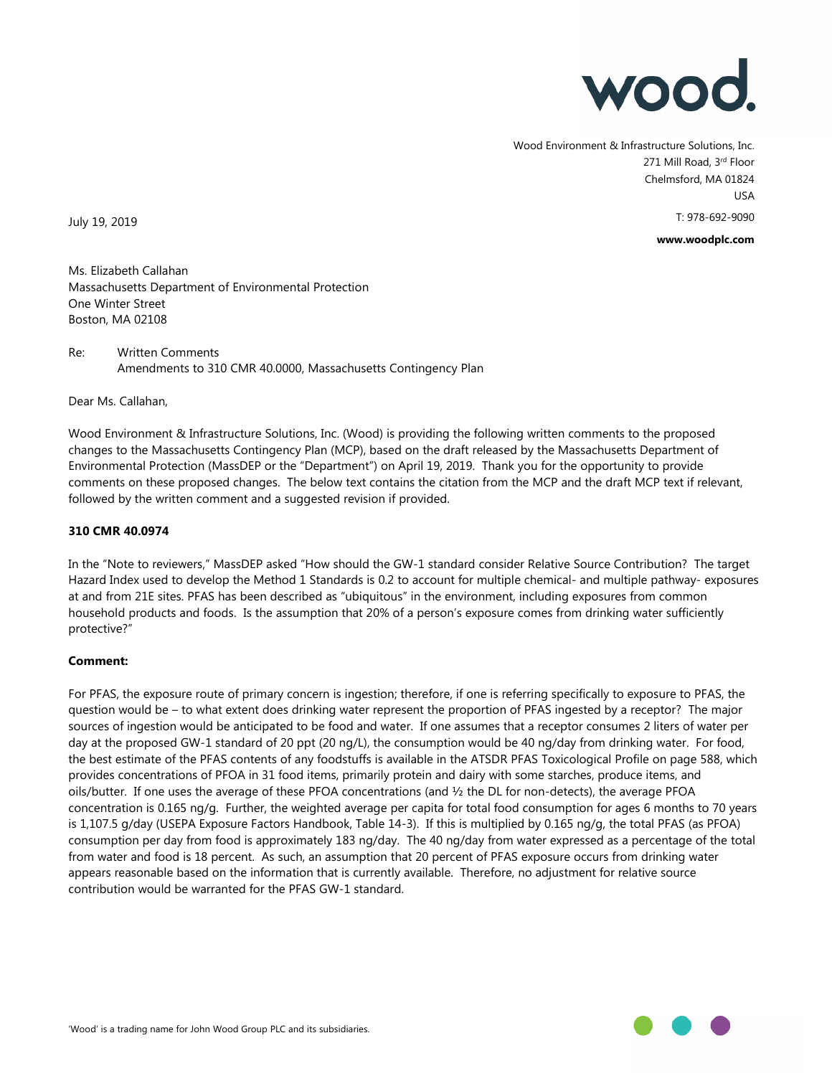

Wood Environment & Infrastructure Solutions, Inc. 271 Mill Road, 3rd Floor Chelmsford, MA 01824 USA T: 978-692-9090

**www.woodplc.com**

July 19, 2019

Ms. Elizabeth Callahan Massachusetts Department of Environmental Protection One Winter Street Boston, MA 02108

# Re: Written Comments Amendments to 310 CMR 40.0000, Massachusetts Contingency Plan

Dear Ms. Callahan,

Wood Environment & Infrastructure Solutions, Inc. (Wood) is providing the following written comments to the proposed changes to the Massachusetts Contingency Plan (MCP), based on the draft released by the Massachusetts Department of Environmental Protection (MassDEP or the "Department") on April 19, 2019. Thank you for the opportunity to provide comments on these proposed changes. The below text contains the citation from the MCP and the draft MCP text if relevant, followed by the written comment and a suggested revision if provided.

#### **310 CMR 40.0974**

In the "Note to reviewers," MassDEP asked "How should the GW-1 standard consider Relative Source Contribution? The target Hazard Index used to develop the Method 1 Standards is 0.2 to account for multiple chemical- and multiple pathway- exposures at and from 21E sites. PFAS has been described as "ubiquitous" in the environment, including exposures from common household products and foods. Is the assumption that 20% of a person's exposure comes from drinking water sufficiently protective?"

# **Comment:**

For PFAS, the exposure route of primary concern is ingestion; therefore, if one is referring specifically to exposure to PFAS, the question would be – to what extent does drinking water represent the proportion of PFAS ingested by a receptor? The major sources of ingestion would be anticipated to be food and water. If one assumes that a receptor consumes 2 liters of water per day at the proposed GW-1 standard of 20 ppt (20 ng/L), the consumption would be 40 ng/day from drinking water. For food, the best estimate of the PFAS contents of any foodstuffs is available in the ATSDR PFAS Toxicological Profile on page 588, which provides concentrations of PFOA in 31 food items, primarily protein and dairy with some starches, produce items, and oils/butter. If one uses the average of these PFOA concentrations (and ½ the DL for non-detects), the average PFOA concentration is 0.165 ng/g. Further, the weighted average per capita for total food consumption for ages 6 months to 70 years is 1,107.5 g/day (USEPA Exposure Factors Handbook, Table 14-3). If this is multiplied by 0.165 ng/g, the total PFAS (as PFOA) consumption per day from food is approximately 183 ng/day. The 40 ng/day from water expressed as a percentage of the total from water and food is 18 percent. As such, an assumption that 20 percent of PFAS exposure occurs from drinking water appears reasonable based on the information that is currently available. Therefore, no adjustment for relative source contribution would be warranted for the PFAS GW-1 standard.

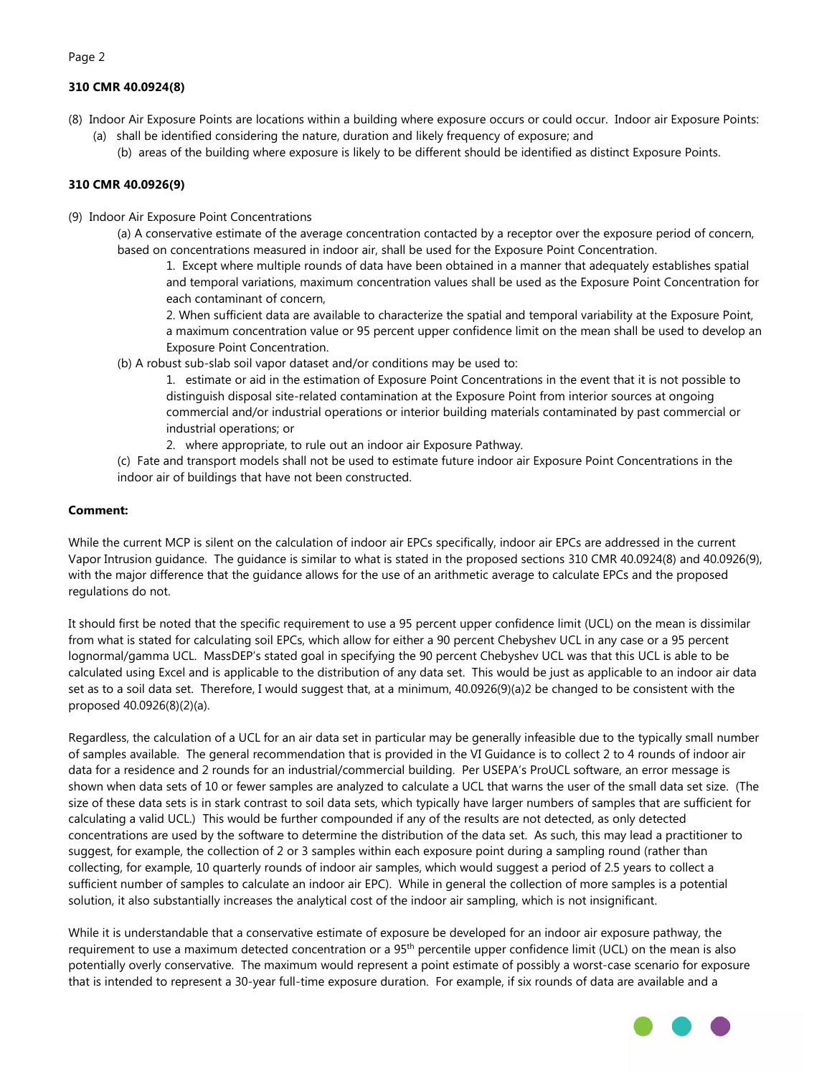# **310 CMR 40.0924(8)**

Page 2

- (8) Indoor Air Exposure Points are locations within a building where exposure occurs or could occur. Indoor air Exposure Points: (a) shall be identified considering the nature, duration and likely frequency of exposure; and
	- (b) areas of the building where exposure is likely to be different should be identified as distinct Exposure Points.

#### **310 CMR 40.0926(9)**

(9) Indoor Air Exposure Point Concentrations

(a) A conservative estimate of the average concentration contacted by a receptor over the exposure period of concern, based on concentrations measured in indoor air, shall be used for the Exposure Point Concentration.

1. Except where multiple rounds of data have been obtained in a manner that adequately establishes spatial and temporal variations, maximum concentration values shall be used as the Exposure Point Concentration for each contaminant of concern,

2. When sufficient data are available to characterize the spatial and temporal variability at the Exposure Point, a maximum concentration value or 95 percent upper confidence limit on the mean shall be used to develop an Exposure Point Concentration.

(b) A robust sub-slab soil vapor dataset and/or conditions may be used to:

1. estimate or aid in the estimation of Exposure Point Concentrations in the event that it is not possible to distinguish disposal site-related contamination at the Exposure Point from interior sources at ongoing commercial and/or industrial operations or interior building materials contaminated by past commercial or industrial operations; or

2. where appropriate, to rule out an indoor air Exposure Pathway.

(c) Fate and transport models shall not be used to estimate future indoor air Exposure Point Concentrations in the indoor air of buildings that have not been constructed.

#### **Comment:**

While the current MCP is silent on the calculation of indoor air EPCs specifically, indoor air EPCs are addressed in the current Vapor Intrusion guidance. The guidance is similar to what is stated in the proposed sections 310 CMR 40.0924(8) and 40.0926(9), with the major difference that the guidance allows for the use of an arithmetic average to calculate EPCs and the proposed regulations do not.

It should first be noted that the specific requirement to use a 95 percent upper confidence limit (UCL) on the mean is dissimilar from what is stated for calculating soil EPCs, which allow for either a 90 percent Chebyshev UCL in any case or a 95 percent lognormal/gamma UCL. MassDEP's stated goal in specifying the 90 percent Chebyshev UCL was that this UCL is able to be calculated using Excel and is applicable to the distribution of any data set. This would be just as applicable to an indoor air data set as to a soil data set. Therefore, I would suggest that, at a minimum, 40.0926(9)(a)2 be changed to be consistent with the proposed 40.0926(8)(2)(a).

Regardless, the calculation of a UCL for an air data set in particular may be generally infeasible due to the typically small number of samples available. The general recommendation that is provided in the VI Guidance is to collect 2 to 4 rounds of indoor air data for a residence and 2 rounds for an industrial/commercial building. Per USEPA's ProUCL software, an error message is shown when data sets of 10 or fewer samples are analyzed to calculate a UCL that warns the user of the small data set size. (The size of these data sets is in stark contrast to soil data sets, which typically have larger numbers of samples that are sufficient for calculating a valid UCL.) This would be further compounded if any of the results are not detected, as only detected concentrations are used by the software to determine the distribution of the data set. As such, this may lead a practitioner to suggest, for example, the collection of 2 or 3 samples within each exposure point during a sampling round (rather than collecting, for example, 10 quarterly rounds of indoor air samples, which would suggest a period of 2.5 years to collect a sufficient number of samples to calculate an indoor air EPC). While in general the collection of more samples is a potential solution, it also substantially increases the analytical cost of the indoor air sampling, which is not insignificant.

While it is understandable that a conservative estimate of exposure be developed for an indoor air exposure pathway, the requirement to use a maximum detected concentration or a 95th percentile upper confidence limit (UCL) on the mean is also potentially overly conservative. The maximum would represent a point estimate of possibly a worst-case scenario for exposure that is intended to represent a 30-year full-time exposure duration. For example, if six rounds of data are available and a

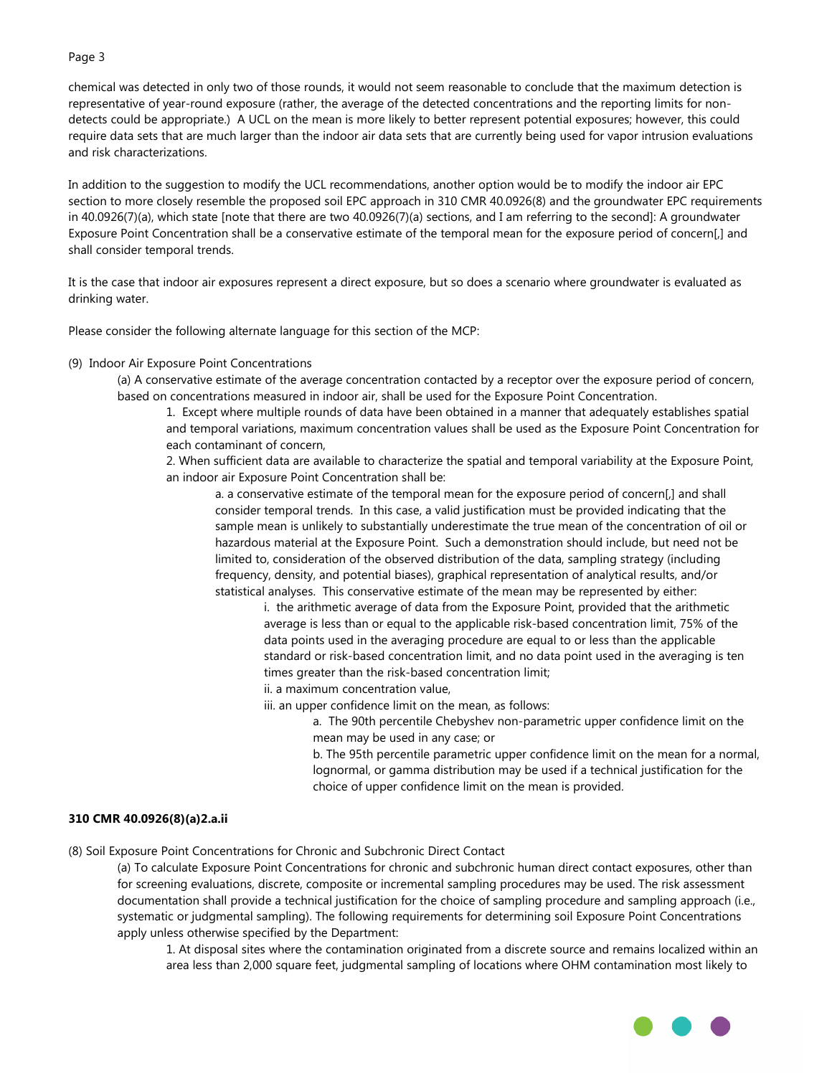chemical was detected in only two of those rounds, it would not seem reasonable to conclude that the maximum detection is representative of year-round exposure (rather, the average of the detected concentrations and the reporting limits for nondetects could be appropriate.) A UCL on the mean is more likely to better represent potential exposures; however, this could require data sets that are much larger than the indoor air data sets that are currently being used for vapor intrusion evaluations and risk characterizations.

In addition to the suggestion to modify the UCL recommendations, another option would be to modify the indoor air EPC section to more closely resemble the proposed soil EPC approach in 310 CMR 40.0926(8) and the groundwater EPC requirements in 40.0926(7)(a), which state [note that there are two 40.0926(7)(a) sections, and I am referring to the second]: A groundwater Exposure Point Concentration shall be a conservative estimate of the temporal mean for the exposure period of concern[,] and shall consider temporal trends.

It is the case that indoor air exposures represent a direct exposure, but so does a scenario where groundwater is evaluated as drinking water.

Please consider the following alternate language for this section of the MCP:

#### (9) Indoor Air Exposure Point Concentrations

(a) A conservative estimate of the average concentration contacted by a receptor over the exposure period of concern, based on concentrations measured in indoor air, shall be used for the Exposure Point Concentration.

1. Except where multiple rounds of data have been obtained in a manner that adequately establishes spatial and temporal variations, maximum concentration values shall be used as the Exposure Point Concentration for each contaminant of concern,

2. When sufficient data are available to characterize the spatial and temporal variability at the Exposure Point, an indoor air Exposure Point Concentration shall be:

a. a conservative estimate of the temporal mean for the exposure period of concern[,] and shall consider temporal trends. In this case, a valid justification must be provided indicating that the sample mean is unlikely to substantially underestimate the true mean of the concentration of oil or hazardous material at the Exposure Point. Such a demonstration should include, but need not be limited to, consideration of the observed distribution of the data, sampling strategy (including frequency, density, and potential biases), graphical representation of analytical results, and/or statistical analyses. This conservative estimate of the mean may be represented by either:

i. the arithmetic average of data from the Exposure Point, provided that the arithmetic average is less than or equal to the applicable risk-based concentration limit, 75% of the data points used in the averaging procedure are equal to or less than the applicable standard or risk-based concentration limit, and no data point used in the averaging is ten times greater than the risk-based concentration limit;

- ii. a maximum concentration value,
- iii. an upper confidence limit on the mean, as follows:
	- a. The 90th percentile Chebyshev non-parametric upper confidence limit on the mean may be used in any case; or

b. The 95th percentile parametric upper confidence limit on the mean for a normal, lognormal, or gamma distribution may be used if a technical justification for the choice of upper confidence limit on the mean is provided.

#### **310 CMR 40.0926(8)(a)2.a.ii**

(8) Soil Exposure Point Concentrations for Chronic and Subchronic Direct Contact

(a) To calculate Exposure Point Concentrations for chronic and subchronic human direct contact exposures, other than for screening evaluations, discrete, composite or incremental sampling procedures may be used. The risk assessment documentation shall provide a technical justification for the choice of sampling procedure and sampling approach (i.e., systematic or judgmental sampling). The following requirements for determining soil Exposure Point Concentrations apply unless otherwise specified by the Department:

1. At disposal sites where the contamination originated from a discrete source and remains localized within an area less than 2,000 square feet, judgmental sampling of locations where OHM contamination most likely to

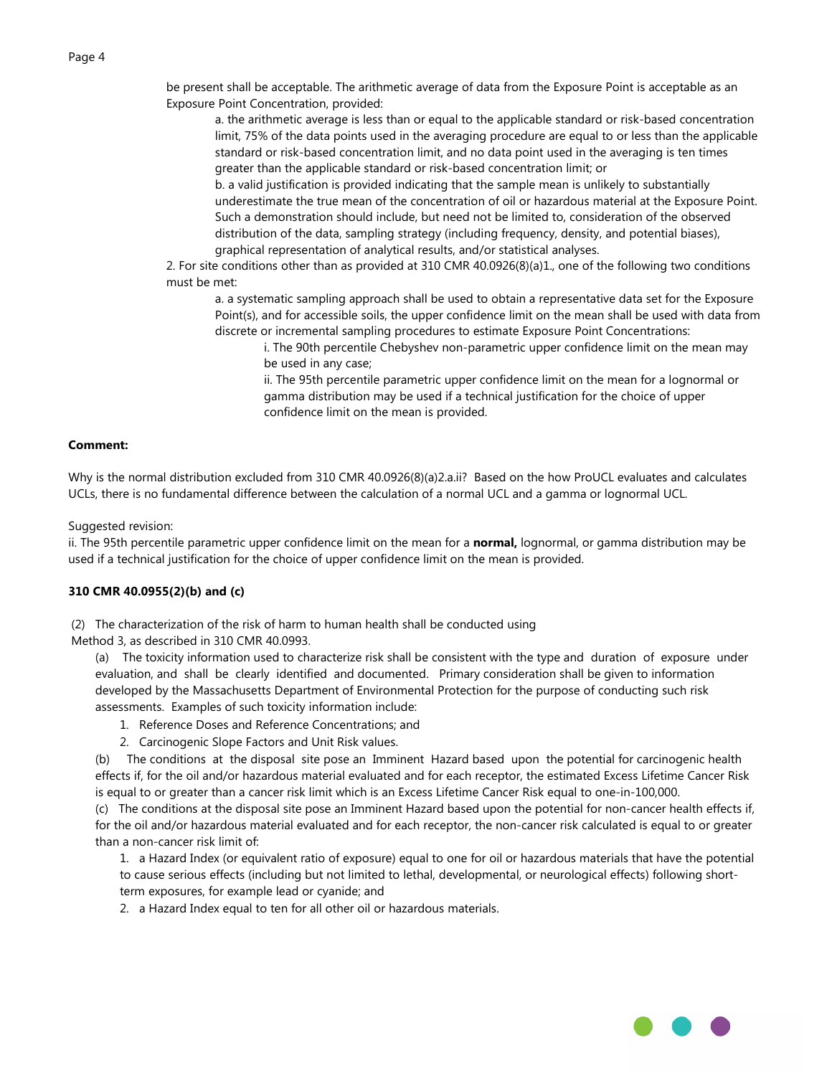be present shall be acceptable. The arithmetic average of data from the Exposure Point is acceptable as an Exposure Point Concentration, provided:

a. the arithmetic average is less than or equal to the applicable standard or risk-based concentration limit, 75% of the data points used in the averaging procedure are equal to or less than the applicable standard or risk-based concentration limit, and no data point used in the averaging is ten times greater than the applicable standard or risk-based concentration limit; or

b. a valid justification is provided indicating that the sample mean is unlikely to substantially underestimate the true mean of the concentration of oil or hazardous material at the Exposure Point. Such a demonstration should include, but need not be limited to, consideration of the observed distribution of the data, sampling strategy (including frequency, density, and potential biases), graphical representation of analytical results, and/or statistical analyses.

2. For site conditions other than as provided at 310 CMR 40.0926(8)(a)1., one of the following two conditions must be met:

a. a systematic sampling approach shall be used to obtain a representative data set for the Exposure Point(s), and for accessible soils, the upper confidence limit on the mean shall be used with data from discrete or incremental sampling procedures to estimate Exposure Point Concentrations:

i. The 90th percentile Chebyshev non-parametric upper confidence limit on the mean may be used in any case;

ii. The 95th percentile parametric upper confidence limit on the mean for a lognormal or gamma distribution may be used if a technical justification for the choice of upper confidence limit on the mean is provided.

# **Comment:**

Why is the normal distribution excluded from 310 CMR 40.0926(8)(a)2.a.ii? Based on the how ProUCL evaluates and calculates UCLs, there is no fundamental difference between the calculation of a normal UCL and a gamma or lognormal UCL.

Suggested revision:

ii. The 95th percentile parametric upper confidence limit on the mean for a **normal,** lognormal, or gamma distribution may be used if a technical justification for the choice of upper confidence limit on the mean is provided.

# **310 CMR 40.0955(2)(b) and (c)**

(2) The characterization of the risk of harm to human health shall be conducted using

Method 3, as described in 310 CMR 40.0993.

(a) The toxicity information used to characterize risk shall be consistent with the type and duration of exposure under evaluation, and shall be clearly identified and documented. Primary consideration shall be given to information developed by the Massachusetts Department of Environmental Protection for the purpose of conducting such risk assessments. Examples of such toxicity information include:

- 1. Reference Doses and Reference Concentrations; and
- 2. Carcinogenic Slope Factors and Unit Risk values.

(b) The conditions at the disposal site pose an Imminent Hazard based upon the potential for carcinogenic health effects if, for the oil and/or hazardous material evaluated and for each receptor, the estimated Excess Lifetime Cancer Risk is equal to or greater than a cancer risk limit which is an Excess Lifetime Cancer Risk equal to one-in-100,000.

(c) The conditions at the disposal site pose an Imminent Hazard based upon the potential for non-cancer health effects if, for the oil and/or hazardous material evaluated and for each receptor, the non-cancer risk calculated is equal to or greater than a non-cancer risk limit of:

1. a Hazard Index (or equivalent ratio of exposure) equal to one for oil or hazardous materials that have the potential to cause serious effects (including but not limited to lethal, developmental, or neurological effects) following shortterm exposures, for example lead or cyanide; and

2. a Hazard Index equal to ten for all other oil or hazardous materials.

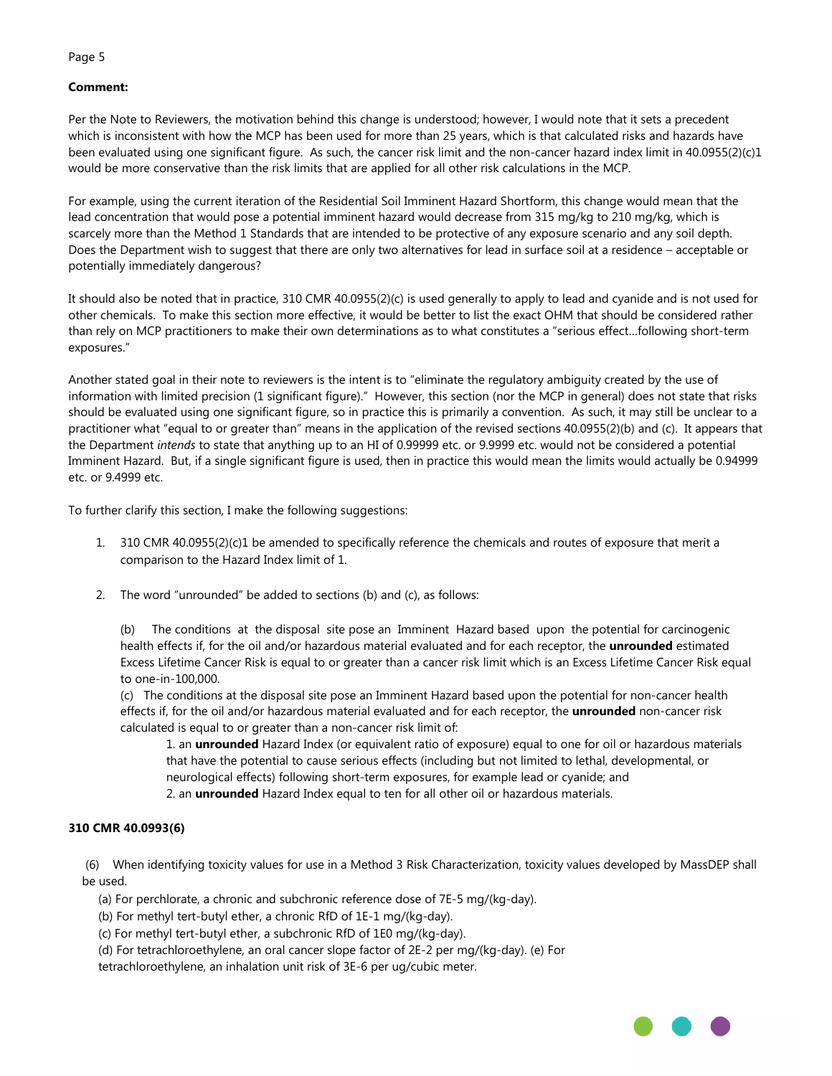# **Comment:**

Per the Note to Reviewers, the motivation behind this change is understood; however, I would note that it sets a precedent which is inconsistent with how the MCP has been used for more than 25 years, which is that calculated risks and hazards have been evaluated using one significant figure. As such, the cancer risk limit and the non-cancer hazard index limit in 40.0955(2)(c)1 would be more conservative than the risk limits that are applied for all other risk calculations in the MCP.

For example, using the current iteration of the Residential Soil Imminent Hazard Shortform, this change would mean that the lead concentration that would pose a potential imminent hazard would decrease from 315 mg/kg to 210 mg/kg, which is scarcely more than the Method 1 Standards that are intended to be protective of any exposure scenario and any soil depth. Does the Department wish to suggest that there are only two alternatives for lead in surface soil at a residence – acceptable or potentially immediately dangerous?

It should also be noted that in practice, 310 CMR 40.0955(2)(c) is used generally to apply to lead and cyanide and is not used for other chemicals. To make this section more effective, it would be better to list the exact OHM that should be considered rather than rely on MCP practitioners to make their own determinations as to what constitutes a "serious effect…following short-term exposures."

Another stated goal in their note to reviewers is the intent is to "eliminate the regulatory ambiguity created by the use of information with limited precision (1 significant figure)." However, this section (nor the MCP in general) does not state that risks should be evaluated using one significant figure, so in practice this is primarily a convention. As such, it may still be unclear to a practitioner what "equal to or greater than" means in the application of the revised sections 40.0955(2)(b) and (c). It appears that the Department *intends* to state that anything up to an HI of 0.99999 etc. or 9.9999 etc. would not be considered a potential Imminent Hazard. But, if a single significant figure is used, then in practice this would mean the limits would actually be 0.94999 etc. or 9.4999 etc.

To further clarify this section, I make the following suggestions:

- 1. 310 CMR 40.0955(2)(c)1 be amended to specifically reference the chemicals and routes of exposure that merit a comparison to the Hazard Index limit of 1.
- 2. The word "unrounded" be added to sections (b) and (c), as follows:

(b) The conditions at the disposal site pose an Imminent Hazard based upon the potential for carcinogenic health effects if, for the oil and/or hazardous material evaluated and for each receptor, the **unrounded** estimated Excess Lifetime Cancer Risk is equal to or greater than a cancer risk limit which is an Excess Lifetime Cancer Risk equal to one-in-100,000.

(c) The conditions at the disposal site pose an Imminent Hazard based upon the potential for non-cancer health effects if, for the oil and/or hazardous material evaluated and for each receptor, the **unrounded** non-cancer risk calculated is equal to or greater than a non-cancer risk limit of:

1. an **unrounded** Hazard Index (or equivalent ratio of exposure) equal to one for oil or hazardous materials that have the potential to cause serious effects (including but not limited to lethal, developmental, or neurological effects) following short-term exposures, for example lead or cyanide; and 2. an **unrounded** Hazard Index equal to ten for all other oil or hazardous materials.

# **310 CMR 40.0993(6)**

 (6) When identifying toxicity values for use in a Method 3 Risk Characterization, toxicity values developed by MassDEP shall be used.

(a) For perchlorate, a chronic and subchronic reference dose of 7E-5 mg/(kg-day).

(b) For methyl tert-butyl ether, a chronic RfD of 1E-1 mg/(kg-day).

(c) For methyl tert-butyl ether, a subchronic RfD of 1E0 mg/(kg-day).

(d) For tetrachloroethylene, an oral cancer slope factor of 2E-2 per mg/(kg-day). (e) For

tetrachloroethylene, an inhalation unit risk of 3E-6 per ug/cubic meter.

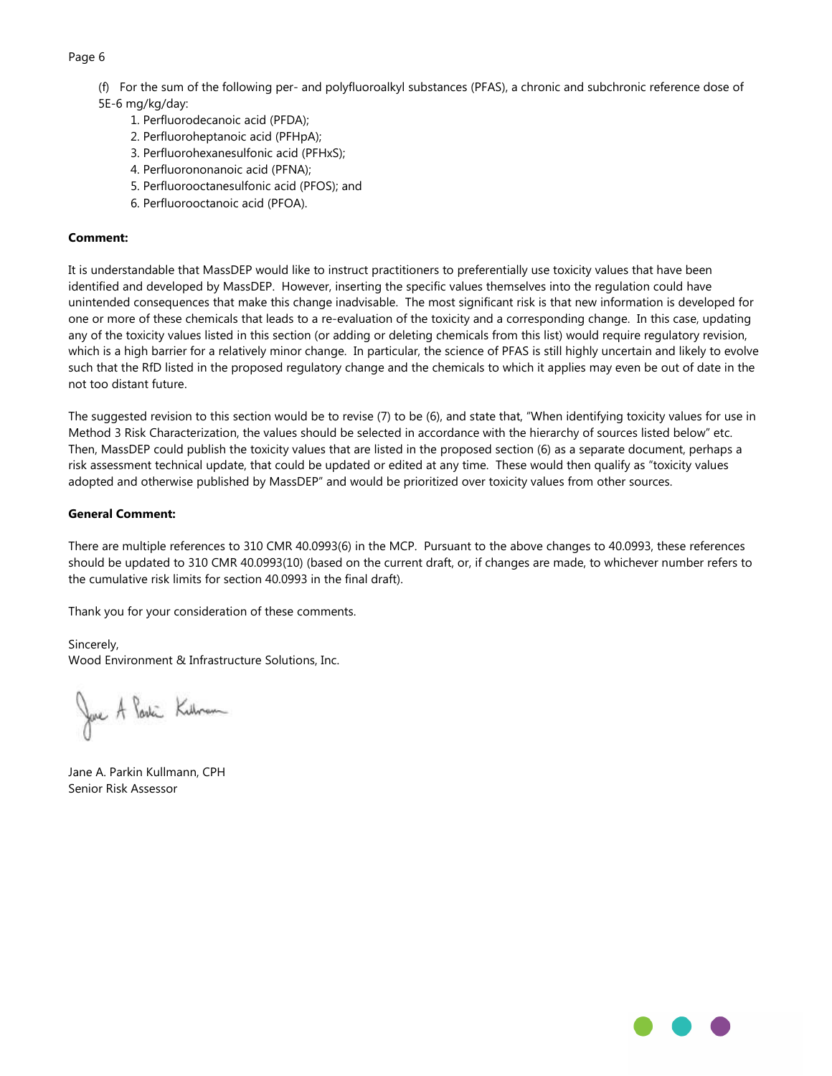- (f) For the sum of the following per- and polyfluoroalkyl substances (PFAS), a chronic and subchronic reference dose of
- 5E-6 mg/kg/day:
	- 1. Perfluorodecanoic acid (PFDA);
	- 2. Perfluoroheptanoic acid (PFHpA);
	- 3. Perfluorohexanesulfonic acid (PFHxS);
	- 4. Perfluorononanoic acid (PFNA);
	- 5. Perfluorooctanesulfonic acid (PFOS); and
	- 6. Perfluorooctanoic acid (PFOA).

# **Comment:**

It is understandable that MassDEP would like to instruct practitioners to preferentially use toxicity values that have been identified and developed by MassDEP. However, inserting the specific values themselves into the regulation could have unintended consequences that make this change inadvisable. The most significant risk is that new information is developed for one or more of these chemicals that leads to a re-evaluation of the toxicity and a corresponding change. In this case, updating any of the toxicity values listed in this section (or adding or deleting chemicals from this list) would require regulatory revision, which is a high barrier for a relatively minor change. In particular, the science of PFAS is still highly uncertain and likely to evolve such that the RfD listed in the proposed regulatory change and the chemicals to which it applies may even be out of date in the not too distant future.

The suggested revision to this section would be to revise (7) to be (6), and state that, "When identifying toxicity values for use in Method 3 Risk Characterization, the values should be selected in accordance with the hierarchy of sources listed below" etc. Then, MassDEP could publish the toxicity values that are listed in the proposed section (6) as a separate document, perhaps a risk assessment technical update, that could be updated or edited at any time. These would then qualify as "toxicity values adopted and otherwise published by MassDEP" and would be prioritized over toxicity values from other sources.

# **General Comment:**

There are multiple references to 310 CMR 40.0993(6) in the MCP. Pursuant to the above changes to 40.0993, these references should be updated to 310 CMR 40.0993(10) (based on the current draft, or, if changes are made, to whichever number refers to the cumulative risk limits for section 40.0993 in the final draft).

Thank you for your consideration of these comments.

# Sincerely,

Wood Environment & Infrastructure Solutions, Inc.

Jave A Parki Kilbram

Jane A. Parkin Kullmann, CPH Senior Risk Assessor

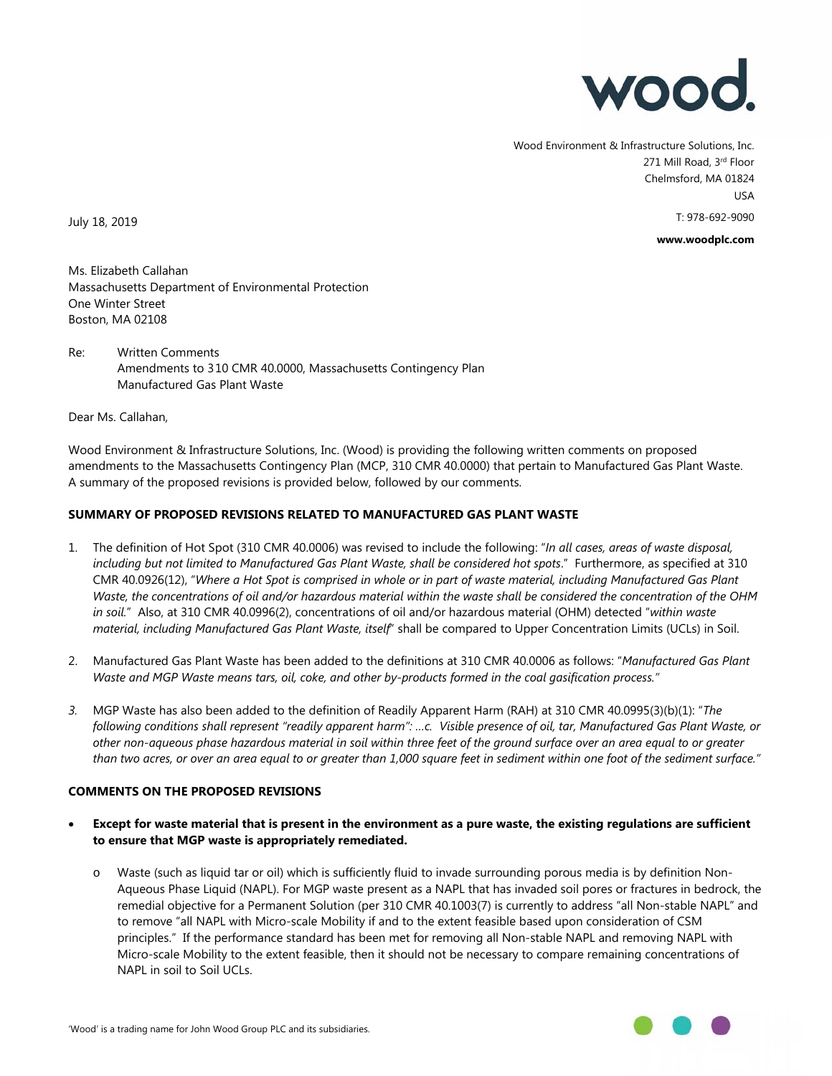

Wood Environment & Infrastructure Solutions, Inc. 271 Mill Road, 3rd Floor Chelmsford, MA 01824 USA T: 978-692-9090

**www.woodplc.com**

July 18, 2019

Ms. Elizabeth Callahan Massachusetts Department of Environmental Protection One Winter Street Boston, MA 02108

Re: Written Comments Amendments to 3 10 CMR 40.0000, Massachusetts Contingency Plan Manufactured Gas Plant Waste

Dear Ms. Callahan,

Wood Environment & Infrastructure Solutions, Inc. (Wood) is providing the following written comments on proposed amendments to the Massachusetts Contingency Plan (MCP, 310 CMR 40.0000) that pertain to Manufactured Gas Plant Waste. A summary of the proposed revisions is provided below, followed by our comments.

# **SUMMARY OF PROPOSED REVISIONS RELATED TO MANUFACTURED GAS PLANT WASTE**

- 1. The definition of Hot Spot (310 CMR 40.0006) was revised to include the following: "*In all cases, areas of waste disposal, including but not limited to Manufactured Gas Plant Waste, shall be considered hot spots*." Furthermore, as specified at 310 CMR 40.0926(12), "*Where a Hot Spot is comprised in whole or in part of waste material, including Manufactured Gas Plant Waste, the concentrations of oil and/or hazardous material within the waste shall be considered the concentration of the OHM in soil.*" Also, at 310 CMR 40.0996(2), concentrations of oil and/or hazardous material (OHM) detected "*within waste material, including Manufactured Gas Plant Waste, itself*" shall be compared to Upper Concentration Limits (UCLs) in Soil.
- 2. Manufactured Gas Plant Waste has been added to the definitions at 310 CMR 40.0006 as follows: "*Manufactured Gas Plant Waste and MGP Waste means tars, oil, coke, and other by-products formed in the coal gasification process."*
- *3.* MGP Waste has also been added to the definition of Readily Apparent Harm (RAH) at 310 CMR 40.0995(3)(b)(1): "*The following conditions shall represent "readily apparent harm": …c. Visible presence of oil, tar, Manufactured Gas Plant Waste, or other non-aqueous phase hazardous material in soil within three feet of the ground surface over an area equal to or greater than two acres, or over an area equal to or greater than 1,000 square feet in sediment within one foot of the sediment surface."*

# **COMMENTS ON THE PROPOSED REVISIONS**

- **Except for waste material that is present in the environment as a pure waste, the existing regulations are sufficient to ensure that MGP waste is appropriately remediated.**
	- o Waste (such as liquid tar or oil) which is sufficiently fluid to invade surrounding porous media is by definition Non-Aqueous Phase Liquid (NAPL). For MGP waste present as a NAPL that has invaded soil pores or fractures in bedrock, the remedial objective for a Permanent Solution (per 310 CMR 40.1003(7) is currently to address "all Non-stable NAPL" and to remove "all NAPL with Micro-scale Mobility if and to the extent feasible based upon consideration of CSM principles." If the performance standard has been met for removing all Non-stable NAPL and removing NAPL with Micro-scale Mobility to the extent feasible, then it should not be necessary to compare remaining concentrations of NAPL in soil to Soil UCLs.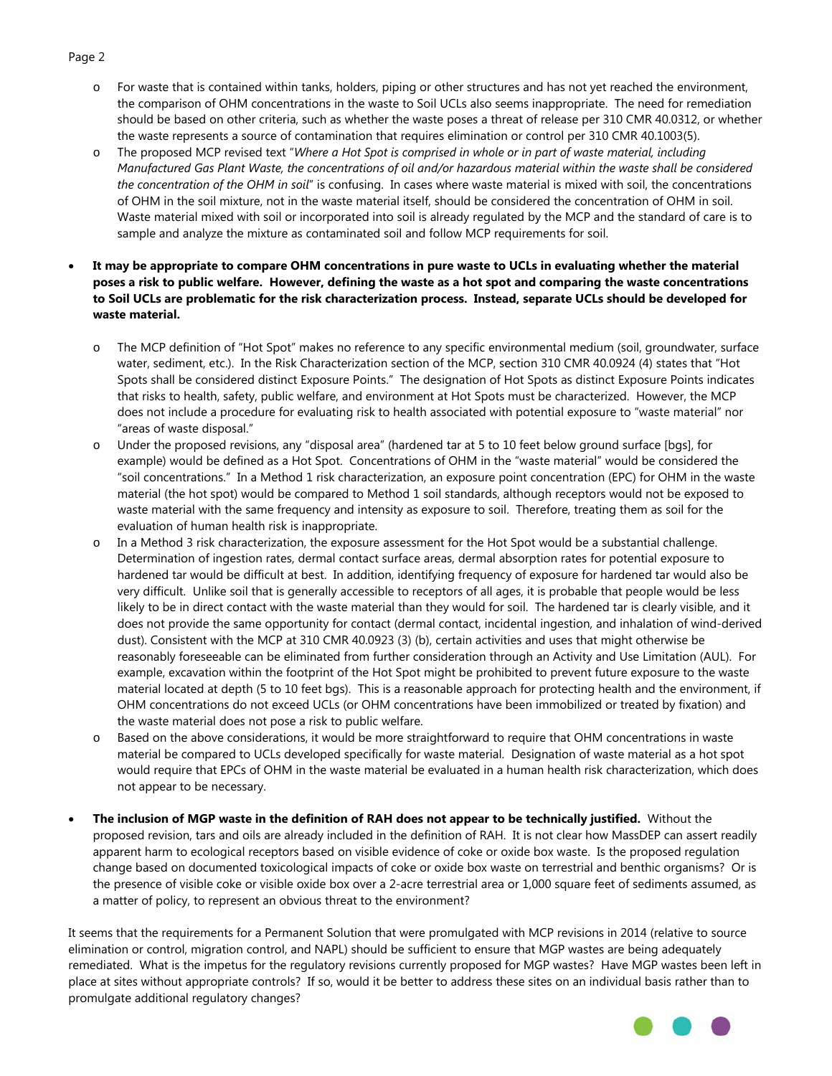- o For waste that is contained within tanks, holders, piping or other structures and has not yet reached the environment, the comparison of OHM concentrations in the waste to Soil UCLs also seems inappropriate. The need for remediation should be based on other criteria, such as whether the waste poses a threat of release per 310 CMR 40.0312, or whether the waste represents a source of contamination that requires elimination or control per 310 CMR 40.1003(5).
- o The proposed MCP revised text "*Where a Hot Spot is comprised in whole or in part of waste material, including Manufactured Gas Plant Waste, the concentrations of oil and/or hazardous material within the waste shall be considered the concentration of the OHM in soil*" is confusing. In cases where waste material is mixed with soil, the concentrations of OHM in the soil mixture, not in the waste material itself, should be considered the concentration of OHM in soil. Waste material mixed with soil or incorporated into soil is already regulated by the MCP and the standard of care is to sample and analyze the mixture as contaminated soil and follow MCP requirements for soil.
- **It may be appropriate to compare OHM concentrations in pure waste to UCLs in evaluating whether the material poses a risk to public welfare. However, defining the waste as a hot spot and comparing the waste concentrations to Soil UCLs are problematic for the risk characterization process. Instead, separate UCLs should be developed for waste material.** 
	- o The MCP definition of "Hot Spot" makes no reference to any specific environmental medium (soil, groundwater, surface water, sediment, etc.). In the Risk Characterization section of the MCP, section 310 CMR 40.0924 (4) states that "Hot Spots shall be considered distinct Exposure Points." The designation of Hot Spots as distinct Exposure Points indicates that risks to health, safety, public welfare, and environment at Hot Spots must be characterized. However, the MCP does not include a procedure for evaluating risk to health associated with potential exposure to "waste material" nor "areas of waste disposal."
	- o Under the proposed revisions, any "disposal area" (hardened tar at 5 to 10 feet below ground surface [bgs], for example) would be defined as a Hot Spot. Concentrations of OHM in the "waste material" would be considered the "soil concentrations." In a Method 1 risk characterization, an exposure point concentration (EPC) for OHM in the waste material (the hot spot) would be compared to Method 1 soil standards, although receptors would not be exposed to waste material with the same frequency and intensity as exposure to soil. Therefore, treating them as soil for the evaluation of human health risk is inappropriate.
	- o In a Method 3 risk characterization, the exposure assessment for the Hot Spot would be a substantial challenge. Determination of ingestion rates, dermal contact surface areas, dermal absorption rates for potential exposure to hardened tar would be difficult at best. In addition, identifying frequency of exposure for hardened tar would also be very difficult. Unlike soil that is generally accessible to receptors of all ages, it is probable that people would be less likely to be in direct contact with the waste material than they would for soil. The hardened tar is clearly visible, and it does not provide the same opportunity for contact (dermal contact, incidental ingestion, and inhalation of wind-derived dust). Consistent with the MCP at 310 CMR 40.0923 (3) (b), certain activities and uses that might otherwise be reasonably foreseeable can be eliminated from further consideration through an Activity and Use Limitation (AUL). For example, excavation within the footprint of the Hot Spot might be prohibited to prevent future exposure to the waste material located at depth (5 to 10 feet bgs). This is a reasonable approach for protecting health and the environment, if OHM concentrations do not exceed UCLs (or OHM concentrations have been immobilized or treated by fixation) and the waste material does not pose a risk to public welfare.
	- o Based on the above considerations, it would be more straightforward to require that OHM concentrations in waste material be compared to UCLs developed specifically for waste material. Designation of waste material as a hot spot would require that EPCs of OHM in the waste material be evaluated in a human health risk characterization, which does not appear to be necessary.
- **The inclusion of MGP waste in the definition of RAH does not appear to be technically justified.** Without the proposed revision, tars and oils are already included in the definition of RAH. It is not clear how MassDEP can assert readily apparent harm to ecological receptors based on visible evidence of coke or oxide box waste. Is the proposed regulation change based on documented toxicological impacts of coke or oxide box waste on terrestrial and benthic organisms? Or is the presence of visible coke or visible oxide box over a 2-acre terrestrial area or 1,000 square feet of sediments assumed, as a matter of policy, to represent an obvious threat to the environment?

It seems that the requirements for a Permanent Solution that were promulgated with MCP revisions in 2014 (relative to source elimination or control, migration control, and NAPL) should be sufficient to ensure that MGP wastes are being adequately remediated. What is the impetus for the regulatory revisions currently proposed for MGP wastes? Have MGP wastes been left in place at sites without appropriate controls? If so, would it be better to address these sites on an individual basis rather than to promulgate additional regulatory changes?